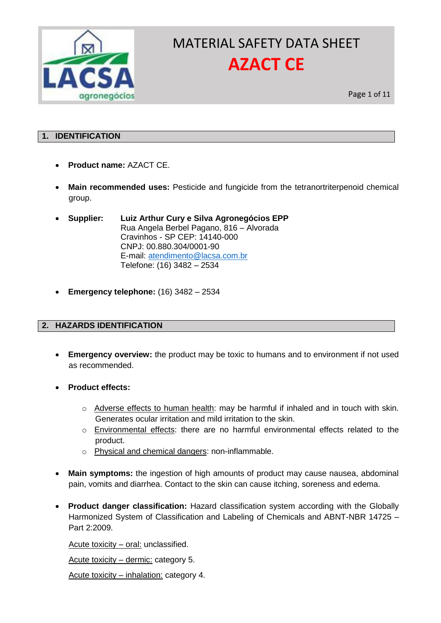

Page 1 of 11

### **1. IDENTIFICATION**

- **Product name:** AZACT CE.
- **Main recommended uses:** Pesticide and fungicide from the tetranortriterpenoid chemical group.
- **Supplier: Luiz Arthur Cury e Silva Agronegócios EPP** Rua Angela Berbel Pagano, 816 – Alvorada Cravinhos - SP CEP: 14140-000 CNPJ: 00.880.304/0001-90 E-mail: [atendimento@lacsa.com.br](mailto:atendimento@lacsa.com.br) Telefone: (16) 3482 – 2534
- **Emergency telephone:** (16) 3482 2534

## **2. HAZARDS IDENTIFICATION**

- **Emergency overview:** the product may be toxic to humans and to environment if not used as recommended.
- **Product effects:**
	- o Adverse effects to human health: may be harmful if inhaled and in touch with skin. Generates ocular irritation and mild irritation to the skin.
	- $\circ$  Environmental effects: there are no harmful environmental effects related to the product.
	- o Physical and chemical dangers: non-inflammable.
- **Main symptoms:** the ingestion of high amounts of product may cause nausea, abdominal pain, vomits and diarrhea. Contact to the skin can cause itching, soreness and edema.
- **Product danger classification:** Hazard classification system according with the Globally Harmonized System of Classification and Labeling of Chemicals and ABNT-NBR 14725 – Part 2:2009.

Acute toxicity – oral: unclassified.

Acute toxicity – dermic: category 5.

Acute toxicity – inhalation: category 4.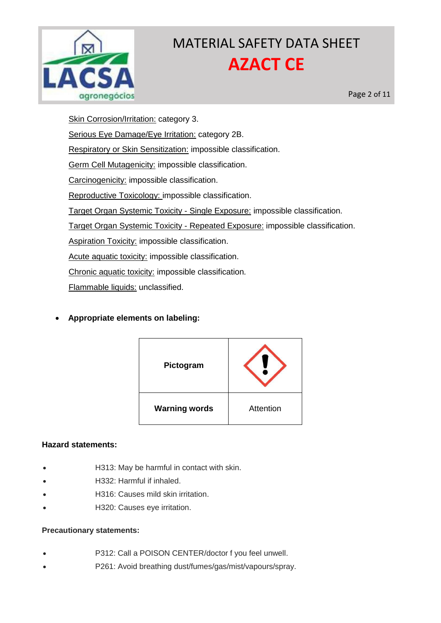

Page 2 of 11

Skin Corrosion/Irritation: category 3. Serious Eye Damage/Eye Irritation: category 2B. Respiratory or Skin Sensitization: impossible classification. Germ Cell Mutagenicity: impossible classification. Carcinogenicity: impossible classification. Reproductive Toxicology: impossible classification. Target Organ Systemic Toxicity - Single Exposure: impossible classification. Target Organ Systemic Toxicity - Repeated Exposure: impossible classification. Aspiration Toxicity: impossible classification. Acute aquatic toxicity: impossible classification. Chronic aquatic toxicity: impossible classification. Flammable liquids: unclassified.

**Appropriate elements on labeling:** 

| Pictogram            |           |  |
|----------------------|-----------|--|
| <b>Warning words</b> | Attention |  |

## **Hazard statements:**

- H313: May be harmful in contact with skin.
- H332: Harmful if inhaled.
- H316: Causes mild skin irritation.
- H320: Causes eye irritation.

## **Precautionary statements:**

- P312: Call a POISON CENTER/doctor f you feel unwell.
- P261: Avoid breathing dust/fumes/gas/mist/vapours/spray.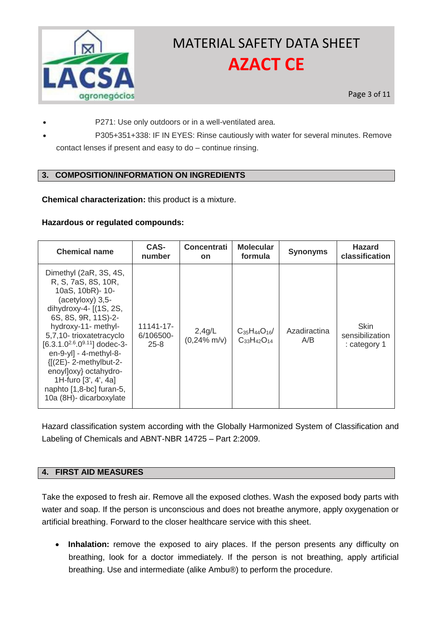

P271: Use only outdoors or in a well-ventilated area.

 P305+351+338: IF IN EYES: Rinse cautiously with water for several minutes. Remove contact lenses if present and easy to do – continue rinsing.

## **3. COMPOSITION/INFORMATION ON INGREDIENTS**

**Chemical characterization:** this product is a mixture.

### **Hazardous or regulated compounds:**

| <b>Chemical name</b>                                                                                                                                                                                                                                                                                                                                                                             | CAS-<br>number                     | <b>Concentrati</b><br><b>on</b> | <b>Molecular</b><br>formula                  | <b>Synonyms</b>     | <b>Hazard</b><br>classification                |
|--------------------------------------------------------------------------------------------------------------------------------------------------------------------------------------------------------------------------------------------------------------------------------------------------------------------------------------------------------------------------------------------------|------------------------------------|---------------------------------|----------------------------------------------|---------------------|------------------------------------------------|
| Dimethyl (2aR, 3S, 4S,<br>R, S, 7aS, 8S, 10R,<br>10aS, 10bR)- 10-<br>(acetyloxy) 3,5-<br>dihydroxy-4- $(1S, 2S,$<br>6S, 8S, 9R, 11S)-2-<br>hydroxy-11- methyl-<br>5,7,10-trioxatetracyclo<br>$[6.3.1.0^{2.6}.0^{9.11}]$ dodec-3-<br>$en-9-yl] - 4-methyl-8-$<br>$\{[(2E)-2-methylbut-2-$<br>enoylloxy} octahydro-<br>1H-furo [3', 4', 4a]<br>naphto [1,8-bc] furan-5,<br>10a (8H)- dicarboxylate | 11141-17-<br>6/106500-<br>$25 - 8$ | 2,4g/L<br>$(0,24\%$ m/v)        | $C_{35}H_{44}O_{16}$<br>$C_{33}H_{42}O_{14}$ | Azadiractina<br>A/B | <b>Skin</b><br>sensibilization<br>: category 1 |

Hazard classification system according with the Globally Harmonized System of Classification and Labeling of Chemicals and ABNT-NBR 14725 – Part 2:2009.

#### **4. FIRST AID MEASURES**

Take the exposed to fresh air. Remove all the exposed clothes. Wash the exposed body parts with water and soap. If the person is unconscious and does not breathe anymore, apply oxygenation or artificial breathing. Forward to the closer healthcare service with this sheet.

 **Inhalation:** remove the exposed to airy places. If the person presents any difficulty on breathing, look for a doctor immediately. If the person is not breathing, apply artificial breathing. Use and intermediate (alike Ambu®) to perform the procedure.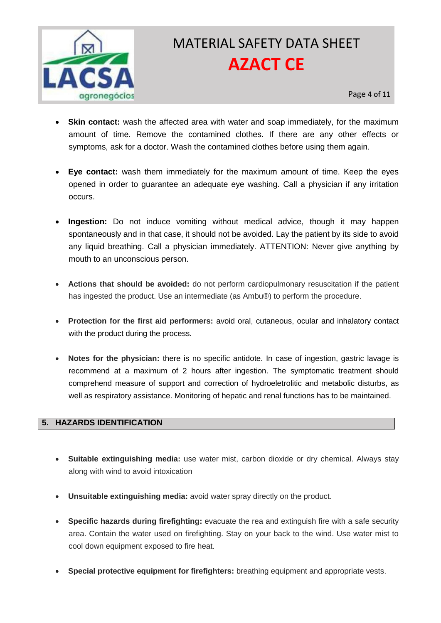

- **Skin contact:** wash the affected area with water and soap immediately, for the maximum amount of time. Remove the contamined clothes. If there are any other effects or symptoms, ask for a doctor. Wash the contamined clothes before using them again.
- **Eye contact:** wash them immediately for the maximum amount of time. Keep the eyes opened in order to guarantee an adequate eye washing. Call a physician if any irritation occurs.
- **Ingestion:** Do not induce vomiting without medical advice, though it may happen spontaneously and in that case, it should not be avoided. Lay the patient by its side to avoid any liquid breathing. Call a physician immediately. ATTENTION: Never give anything by mouth to an unconscious person.
- **Actions that should be avoided:** do not perform cardiopulmonary resuscitation if the patient has ingested the product. Use an intermediate (as Ambu®) to perform the procedure.
- **Protection for the first aid performers:** avoid oral, cutaneous, ocular and inhalatory contact with the product during the process.
- **Notes for the physician:** there is no specific antidote. In case of ingestion, gastric lavage is recommend at a maximum of 2 hours after ingestion. The symptomatic treatment should comprehend measure of support and correction of hydroeletrolitic and metabolic disturbs, as well as respiratory assistance. Monitoring of hepatic and renal functions has to be maintained.

## **5. HAZARDS IDENTIFICATION**

- **Suitable extinguishing media:** use water mist, carbon dioxide or dry chemical. Always stay along with wind to avoid intoxication
- **Unsuitable extinguishing media:** avoid water spray directly on the product.
- **Specific hazards during firefighting:** evacuate the rea and extinguish fire with a safe security area. Contain the water used on firefighting. Stay on your back to the wind. Use water mist to cool down equipment exposed to fire heat.
- **Special protective equipment for firefighters:** breathing equipment and appropriate vests.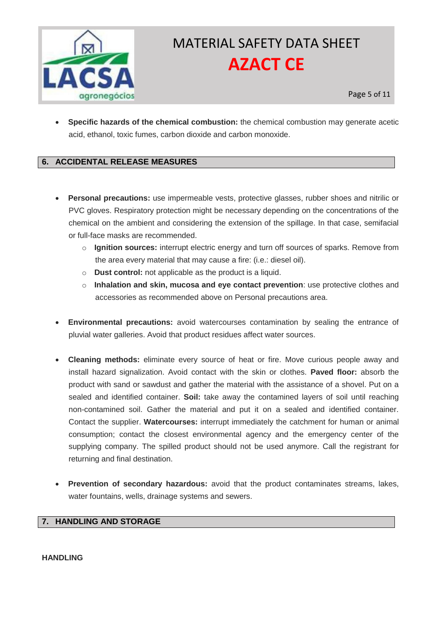

 **Specific hazards of the chemical combustion:** the chemical combustion may generate acetic acid, ethanol, toxic fumes, carbon dioxide and carbon monoxide.

### **6. ACCIDENTAL RELEASE MEASURES**

- **Personal precautions:** use impermeable vests, protective glasses, rubber shoes and nitrilic or PVC gloves. Respiratory protection might be necessary depending on the concentrations of the chemical on the ambient and considering the extension of the spillage. In that case, semifacial or full-face masks are recommended.
	- o **Ignition sources:** interrupt electric energy and turn off sources of sparks. Remove from the area every material that may cause a fire: (i.e.: diesel oil).
	- o **Dust control:** not applicable as the product is a liquid.
	- o **Inhalation and skin, mucosa and eye contact prevention**: use protective clothes and accessories as recommended above on Personal precautions area.
- **Environmental precautions:** avoid watercourses contamination by sealing the entrance of pluvial water galleries. Avoid that product residues affect water sources.
- **Cleaning methods:** eliminate every source of heat or fire. Move curious people away and install hazard signalization. Avoid contact with the skin or clothes. **Paved floor:** absorb the product with sand or sawdust and gather the material with the assistance of a shovel. Put on a sealed and identified container. **Soil:** take away the contamined layers of soil until reaching non-contamined soil. Gather the material and put it on a sealed and identified container. Contact the supplier. **Watercourses:** interrupt immediately the catchment for human or animal consumption; contact the closest environmental agency and the emergency center of the supplying company. The spilled product should not be used anymore. Call the registrant for returning and final destination.
- **Prevention of secondary hazardous:** avoid that the product contaminates streams, lakes, water fountains, wells, drainage systems and sewers.

#### **7. HANDLING AND STORAGE**

#### **HANDLING**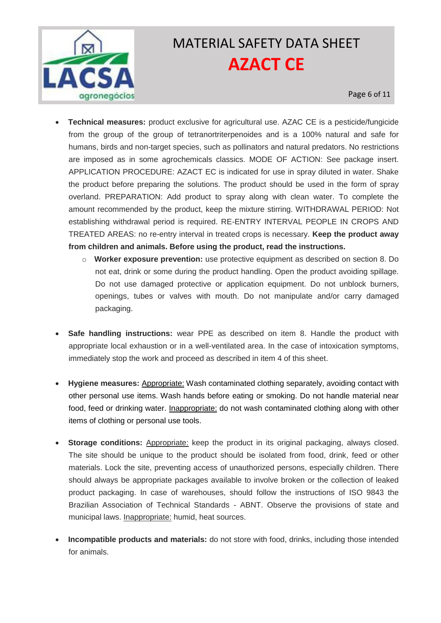

- **Technical measures:** product exclusive for agricultural use. AZAC CE is a pesticide/fungicide from the group of the group of tetranortriterpenoides and is a 100% natural and safe for humans, birds and non-target species, such as pollinators and natural predators. No restrictions are imposed as in some agrochemicals classics. MODE OF ACTION: See package insert. APPLICATION PROCEDURE: AZACT EC is indicated for use in spray diluted in water. Shake the product before preparing the solutions. The product should be used in the form of spray overland. PREPARATION: Add product to spray along with clean water. To complete the amount recommended by the product, keep the mixture stirring. WITHDRAWAL PERIOD: Not establishing withdrawal period is required. RE-ENTRY INTERVAL PEOPLE IN CROPS AND TREATED AREAS: no re-entry interval in treated crops is necessary. **Keep the product away from children and animals. Before using the product, read the instructions.** 
	- o **Worker exposure prevention:** use protective equipment as described on section 8. Do not eat, drink or some during the product handling. Open the product avoiding spillage. Do not use damaged protective or application equipment. Do not unblock burners, openings, tubes or valves with mouth. Do not manipulate and/or carry damaged packaging.
- **Safe handling instructions:** wear PPE as described on item 8. Handle the product with appropriate local exhaustion or in a well-ventilated area. In the case of intoxication symptoms, immediately stop the work and proceed as described in item 4 of this sheet.
- **Hygiene measures:** Appropriate: Wash contaminated clothing separately, avoiding contact with other personal use items. Wash hands before eating or smoking. Do not handle material near food, feed or drinking water. Inappropriate: do not wash contaminated clothing along with other items of clothing or personal use tools.
- **Storage conditions:** Appropriate: keep the product in its original packaging, always closed. The site should be unique to the product should be isolated from food, drink, feed or other materials. Lock the site, preventing access of unauthorized persons, especially children. There should always be appropriate packages available to involve broken or the collection of leaked product packaging. In case of warehouses, should follow the instructions of ISO 9843 the Brazilian Association of Technical Standards - ABNT. Observe the provisions of state and municipal laws. Inappropriate: humid, heat sources.
- **Incompatible products and materials:** do not store with food, drinks, including those intended for animals.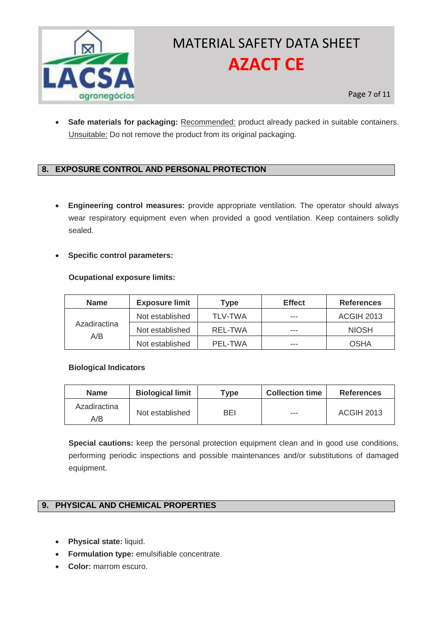

 **Safe materials for packaging:** Recommended: product already packed in suitable containers. Unsuitable: Do not remove the product from its original packaging.

## **8. EXPOSURE CONTROL AND PERSONAL PROTECTION**

 **Engineering control measures:** provide appropriate ventilation. The operator should always wear respiratory equipment even when provided a good ventilation. Keep containers solidly sealed.

#### **Specific control parameters:**

#### **Ocupational exposure limits:**

| <b>Name</b>         | <b>Exposure limit</b> | Type           | <b>Effect</b> | <b>References</b> |
|---------------------|-----------------------|----------------|---------------|-------------------|
| Azadiractina<br>A/B | Not established       | <b>TLV-TWA</b> | ---           | <b>ACGIH 2013</b> |
|                     | Not established       | REL-TWA        | ---           | <b>NIOSH</b>      |
|                     | Not established       | PFI-TWA        | ---           | OSHA              |

#### **Biological Indicators**

| <b>Name</b>         | <b>Biological limit</b> | Type | <b>Collection time</b> | <b>References</b> |
|---------------------|-------------------------|------|------------------------|-------------------|
| Azadiractina<br>A/B | Not established         | BEI  | $--$                   | <b>ACGIH 2013</b> |

**Special cautions:** keep the personal protection equipment clean and in good use conditions, performing periodic inspections and possible maintenances and/or substitutions of damaged equipment.

## **9. PHYSICAL AND CHEMICAL PROPERTIES**

- **Physical state:** liquid.
- **Formulation type:** emulsifiable concentrate.
- **Color:** marrom escuro.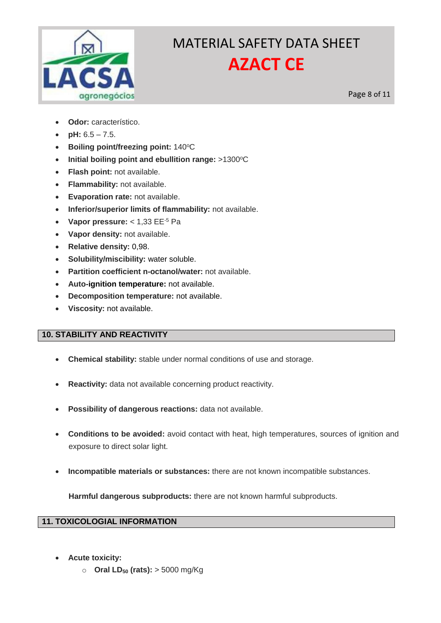

Page 8 of 11

- **Odor:** característico.
- **pH:**  $6.5 7.5$ .
- **Boiling point/freezing point: 140°C**
- **Initial boiling point and ebullition range: >1300°C**
- **Flash point:** not available.
- **Flammability:** not available.
- **Evaporation rate:** not available.
- **Inferior/superior limits of flammability:** not available.
- **Vapor pressure:** < 1,33 EE-5 Pa
- **Vapor density:** not available.
- **Relative density:** 0,98.
- **Solubility/miscibility:** water soluble.
- **Partition coefficient n-octanol/water:** not available.
- **Auto-ignition temperature:** not available.
- **Decomposition temperature:** not available.
- **Viscosity:** not available.

## **10. STABILITY AND REACTIVITY**

- **Chemical stability:** stable under normal conditions of use and storage.
- **Reactivity:** data not available concerning product reactivity.
- **Possibility of dangerous reactions:** data not available.
- **Conditions to be avoided:** avoid contact with heat, high temperatures, sources of ignition and exposure to direct solar light.
- **Incompatible materials or substances:** there are not known incompatible substances.

**Harmful dangerous subproducts:** there are not known harmful subproducts.

## **11. TOXICOLOGIAL INFORMATION**

- **Acute toxicity:**
	- o **Oral LD<sup>50</sup> (rats):** > 5000 mg/Kg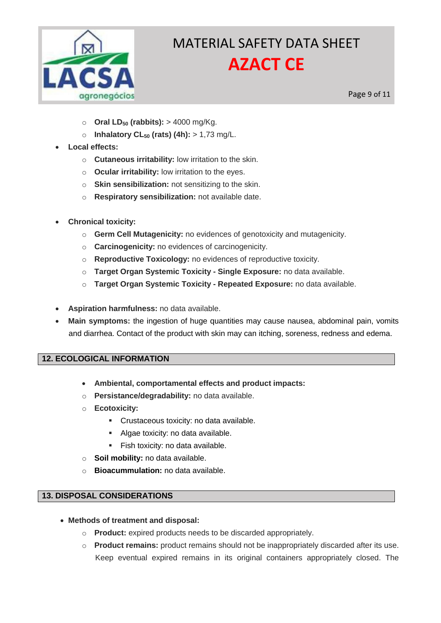

Page 9 of 11

- o **Oral LD<sup>50</sup> (rabbits):** > 4000 mg/Kg.
- o **Inhalatory CL<sup>50</sup> (rats) (4h):** > 1,73 mg/L.
- **Local effects:**
	- o **Cutaneous irritability:** low irritation to the skin.
	- o **Ocular irritability:** low irritation to the eyes.
	- o **Skin sensibilization:** not sensitizing to the skin.
	- o **Respiratory sensibilization:** not available date.
- **Chronical toxicity:**
	- o **Germ Cell Mutagenicity:** no evidences of genotoxicity and mutagenicity.
	- o **Carcinogenicity:** no evidences of carcinogenicity.
	- o **Reproductive Toxicology:** no evidences of reproductive toxicity.
	- o **Target Organ Systemic Toxicity - Single Exposure:** no data available.
	- o **Target Organ Systemic Toxicity - Repeated Exposure:** no data available.
- **Aspiration harmfulness:** no data available.
- **Main symptoms:** the ingestion of huge quantities may cause nausea, abdominal pain, vomits and diarrhea. Contact of the product with skin may can itching, soreness, redness and edema.

## **12. ECOLOGICAL INFORMATION**

- **Ambiental, comportamental effects and product impacts:**
- o **Persistance/degradability:** no data available.
- o **Ecotoxicity:**
	- Crustaceous toxicity: no data available.
	- Algae toxicity: no data available.
	- **Fish toxicity: no data available.**
- o **Soil mobility:** no data available.
- o **Bioacummulation:** no data available.

#### **13. DISPOSAL CONSIDERATIONS**

- **Methods of treatment and disposal:**
	- o **Product:** expired products needs to be discarded appropriately.
	- o **Product remains:** product remains should not be inappropriately discarded after its use. Keep eventual expired remains in its original containers appropriately closed. The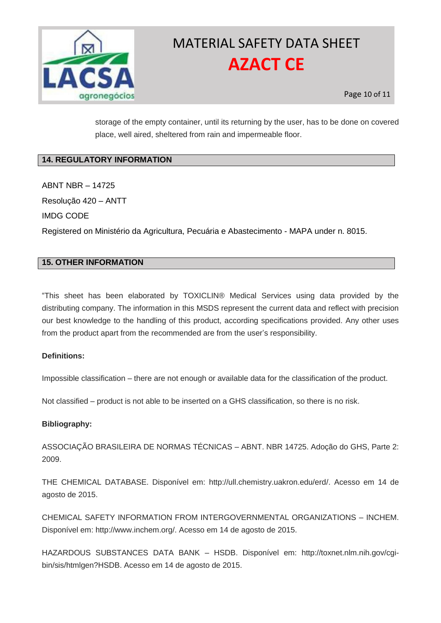

storage of the empty container, until its returning by the user, has to be done on covered place, well aired, sheltered from rain and impermeable floor.

## **14. REGULATORY INFORMATION**

ABNT NBR – 14725 Resolução 420 – ANTT IMDG CODE Registered on Ministério da Agricultura, Pecuária e Abastecimento - MAPA under n. 8015.

### **15. OTHER INFORMATION**

"This sheet has been elaborated by TOXICLIN® Medical Services using data provided by the distributing company. The information in this MSDS represent the current data and reflect with precision our best knowledge to the handling of this product, according specifications provided. Any other uses from the product apart from the recommended are from the user's responsibility.

#### **Definitions:**

Impossible classification – there are not enough or available data for the classification of the product.

Not classified – product is not able to be inserted on a GHS classification, so there is no risk.

#### **Bibliography:**

ASSOCIAÇÃO BRASILEIRA DE NORMAS TÉCNICAS – ABNT. NBR 14725. Adoção do GHS, Parte 2: 2009.

THE CHEMICAL DATABASE. Disponível em: http://ull.chemistry.uakron.edu/erd/. Acesso em 14 de agosto de 2015.

CHEMICAL SAFETY INFORMATION FROM INTERGOVERNMENTAL ORGANIZATIONS – INCHEM. Disponível em: http://www.inchem.org/. Acesso em 14 de agosto de 2015.

HAZARDOUS SUBSTANCES DATA BANK – HSDB. Disponível em: http://toxnet.nlm.nih.gov/cgibin/sis/htmlgen?HSDB. Acesso em 14 de agosto de 2015.